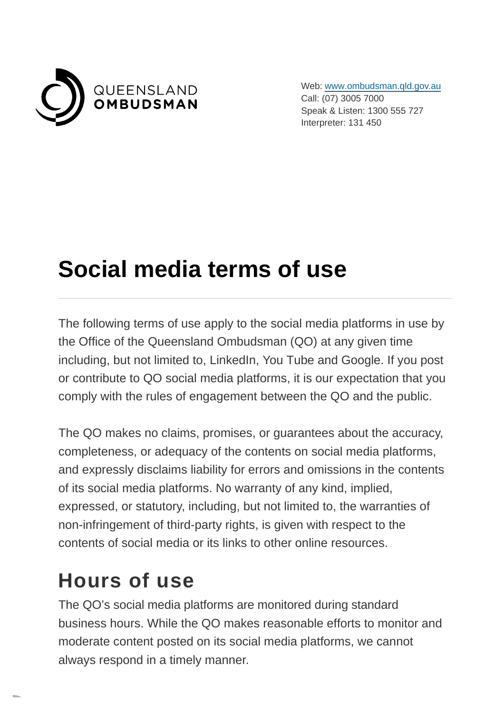

Web: [www.ombudsman.qld.gov.au](https://www.ombudsman.qld.gov.au/) Call: (07) 3005 7000 Speak & Listen: 1300 555 727 Interpreter: 131 450

# **Social media terms of use**

The following terms of use apply to the social media platforms in use by the Office of the Queensland Ombudsman (QO) at any given time including, but not limited to, LinkedIn, You Tube and Google. If you post or contribute to QO social media platforms, it is our expectation that you comply with the rules of engagement between the QO and the public.

The QO makes no claims, promises, or guarantees about the accuracy, completeness, or adequacy of the contents on social media platforms, and expressly disclaims liability for errors and omissions in the contents of its social media platforms. No warranty of any kind, implied, expressed, or statutory, including, but not limited to, the warranties of non-infringement of third-party rights, is given with respect to the contents of social media or its links to other online resources.

#### **Hours of use**

The QO's social media platforms are monitored during standard business hours. While the QO makes reasonable efforts to monitor and moderate content posted on its social media platforms, we cannot always respond in a timely manner.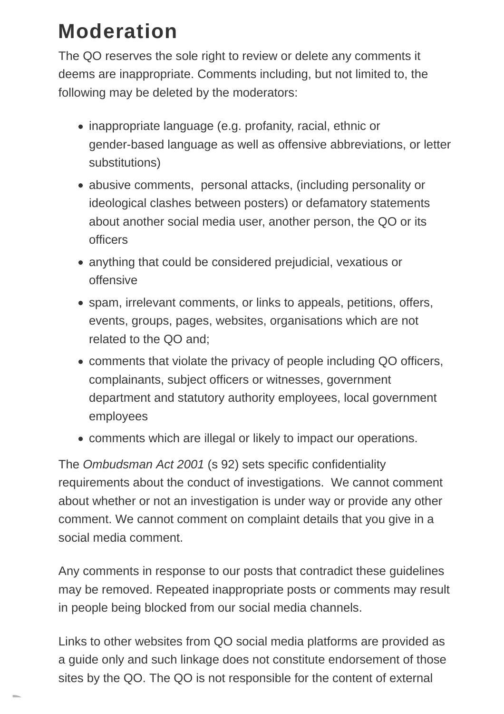### **Moderation**

The QO reserves the sole right to review or delete any comments it deems are inappropriate. Comments including, but not limited to, the following may be deleted by the moderators:

- inappropriate language (e.g. profanity, racial, ethnic or gender-based language as well as offensive abbreviations, or letter substitutions)
- abusive comments, personal attacks, (including personality or ideological clashes between posters) or defamatory statements about another social media user, another person, the QO or its officers
- anything that could be considered prejudicial, vexatious or offensive
- spam, irrelevant comments, or links to appeals, petitions, offers, events, groups, pages, websites, organisations which are not related to the QO and;
- comments that violate the privacy of people including QO officers, complainants, subject officers or witnesses, government department and statutory authority employees, local government employees
- comments which are illegal or likely to impact our operations.

The Ombudsman Act 2001 (s 92) sets specific confidentiality requirements about the conduct of investigations. We cannot comment about whether or not an investigation is under way or provide any other comment. We cannot comment on complaint details that you give in a social media comment.

Any comments in response to our posts that contradict these guidelines may be removed. Repeated inappropriate posts or comments may result in people being blocked from our social media channels.

Links to other websites from QO social media platforms are provided as a guide only and such linkage does not constitute endorsement of those sites by the QO. The QO is not responsible for the content of external